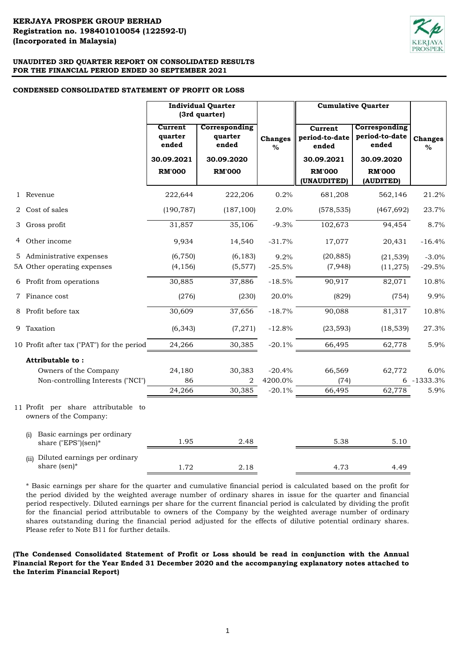# **KERJAYA PROSPEK GROUP BERHAD (Incorporated in Malaysia) Registration no. 198401010054 (122592-U)**



# **UNAUDITED 3RD QUARTER REPORT ON CONSOLIDATED RESULTS FOR THE FINANCIAL PERIOD ENDED 30 SEPTEMBER 2021**

# **CONDENSED CONSOLIDATED STATEMENT OF PROFIT OR LOSS**

|                                                               | <b>Individual Quarter</b><br>(3rd quarter) |                                   |                        |                                    | <b>Cumulative Quarter</b>                |                        |  |
|---------------------------------------------------------------|--------------------------------------------|-----------------------------------|------------------------|------------------------------------|------------------------------------------|------------------------|--|
|                                                               | Current<br>quarter<br>ended                | Corresponding<br>quarter<br>ended | <b>Changes</b><br>$\%$ | Current<br>period-to-date<br>ended | Corresponding<br>period-to-date<br>ended | <b>Changes</b><br>$\%$ |  |
|                                                               | 30.09.2021                                 | 30.09.2020                        |                        | 30.09.2021                         | 30.09.2020                               |                        |  |
|                                                               | <b>RM'000</b>                              | <b>RM'000</b>                     |                        | <b>RM'000</b>                      | <b>RM'000</b>                            |                        |  |
|                                                               |                                            |                                   |                        | (UNAUDITED)                        | (AUDITED)                                |                        |  |
| 1 Revenue                                                     | 222,644                                    | 222,206                           | 0.2%                   | 681,208                            | 562,146                                  | 21.2%                  |  |
| 2 Cost of sales                                               | (190, 787)                                 | (187, 100)                        | 2.0%                   | (578, 535)                         | (467, 692)                               | 23.7%                  |  |
| 3 Gross profit                                                | 31,857                                     | 35,106                            | $-9.3%$                | 102,673                            | 94,454                                   | 8.7%                   |  |
| 4 Other income                                                | 9,934                                      | 14,540                            | $-31.7%$               | 17,077                             | 20,431                                   | $-16.4%$               |  |
| 5 Administrative expenses                                     | (6, 750)                                   | (6, 183)                          | 9.2%                   | (20, 885)                          | (21, 539)                                | $-3.0%$                |  |
| 5A Other operating expenses                                   | (4, 156)                                   | (5,577)                           | $-25.5%$               | (7,948)                            | (11, 275)                                | $-29.5%$               |  |
| 6 Profit from operations                                      | 30,885                                     | 37,886                            | $-18.5%$               | 90,917                             | 82,071                                   | 10.8%                  |  |
| 7 Finance cost                                                | (276)                                      | (230)                             | 20.0%                  | (829)                              | (754)                                    | 9.9%                   |  |
| 8 Profit before tax                                           | 30,609                                     | 37,656                            | $-18.7%$               | 90,088                             | 81,317                                   | 10.8%                  |  |
| 9 Taxation                                                    | (6, 343)                                   | (7, 271)                          | $-12.8%$               | (23, 593)                          | (18, 539)                                | 27.3%                  |  |
| 10 Profit after tax ("PAT") for the period                    | 24,266                                     | 30,385                            | $-20.1%$               | 66,495                             | 62,778                                   | 5.9%                   |  |
| Attributable to:                                              |                                            |                                   |                        |                                    |                                          |                        |  |
| Owners of the Company                                         | 24,180                                     | 30,383                            | $-20.4%$               | 66,569                             | 62,772                                   | 6.0%                   |  |
| Non-controlling Interests ("NCI")                             | 86                                         | 2                                 | 4200.0%                | (74)                               |                                          | 6 -1333.3%             |  |
|                                                               | 24,266                                     | 30,385                            | $-20.1%$               | 66,495                             | 62,778                                   | 5.9%                   |  |
| 11 Profit per share attributable to<br>owners of the Company: |                                            |                                   |                        |                                    |                                          |                        |  |
| Basic earnings per ordinary<br>(i)<br>share ("EPS")(sen)*     | 1.95                                       | 2.48                              |                        | 5.38                               | 5.10                                     |                        |  |
| Diluted earnings per ordinary<br>(ii)<br>share (sen)*         | 1.72                                       | 2.18                              |                        | 4.73                               | 4.49                                     |                        |  |

\* Basic earnings per share for the quarter and cumulative financial period is calculated based on the profit for the period divided by the weighted average number of ordinary shares in issue for the quarter and financial period respectively. Diluted earnings per share for the current financial period is calculated by dividing the profit for the financial period attributable to owners of the Company by the weighted average number of ordinary shares outstanding during the financial period adjusted for the effects of dilutive potential ordinary shares. Please refer to Note B11 for further details.

**(The Condensed Consolidated Statement of Profit or Loss should be read in conjunction with the Annual Financial Report for the Year Ended 31 December 2020 and the accompanying explanatory notes attached to the Interim Financial Report)**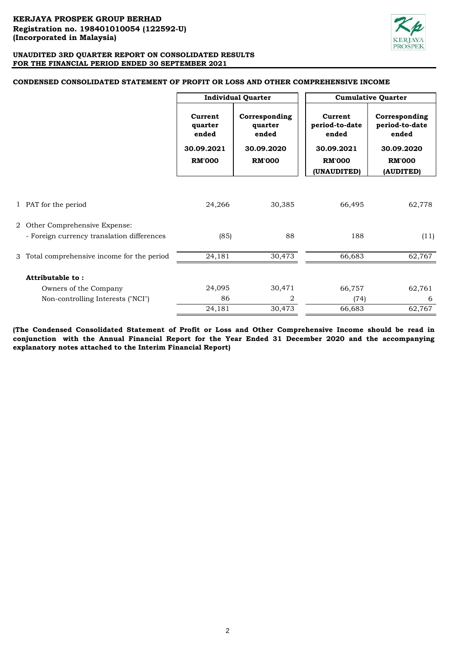

|                                             | <b>Individual Quarter</b>                 |                                                 | <b>Cumulative Quarter</b>                        |                                                        |
|---------------------------------------------|-------------------------------------------|-------------------------------------------------|--------------------------------------------------|--------------------------------------------------------|
|                                             | Current<br>quarter<br>ended<br>30.09.2021 | Corresponding<br>quarter<br>ended<br>30.09.2020 | Current<br>period-to-date<br>ended<br>30.09.2021 | Corresponding<br>period-to-date<br>ended<br>30.09.2020 |
|                                             | <b>RM'000</b>                             | <b>RM'000</b>                                   | <b>RM'000</b>                                    | <b>RM'000</b>                                          |
|                                             |                                           |                                                 | (UNAUDITED)                                      | (AUDITED)                                              |
| 1 PAT for the period                        | 24,266                                    | 30,385                                          | 66,495                                           | 62,778                                                 |
| 2 Other Comprehensive Expense:              |                                           |                                                 |                                                  |                                                        |
| - Foreign currency translation differences  | (85)                                      | 88                                              | 188                                              | (11)                                                   |
| 3 Total comprehensive income for the period | 24,181                                    | 30,473                                          | 66,683                                           | 62,767                                                 |
| Attributable to:                            |                                           |                                                 |                                                  |                                                        |
| Owners of the Company                       | 24,095                                    | 30,471                                          | 66,757                                           | 62,761                                                 |
| Non-controlling Interests ("NCI")           | 86                                        | 2                                               | (74)                                             | 6                                                      |
|                                             | 24,181                                    | 30,473                                          | 66,683                                           | 62,767                                                 |

### **CONDENSED CONSOLIDATED STATEMENT OF PROFIT OR LOSS AND OTHER COMPREHENSIVE INCOME**

**(The Condensed Consolidated Statement of Profit or Loss and Other Comprehensive Income should be read in conjunction with the Annual Financial Report for the Year Ended 31 December 2020 and the accompanying explanatory notes attached to the Interim Financial Report)**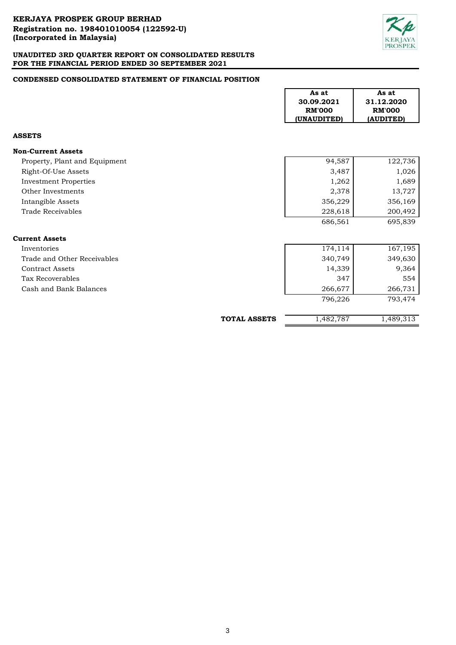

# **CONDENSED CONSOLIDATED STATEMENT OF FINANCIAL POSITION**

|                               |                     | As at<br>30.09.2021<br><b>RM'000</b><br>(UNAUDITED) | As at<br>31.12.2020<br><b>RM'000</b><br>(AUDITED) |
|-------------------------------|---------------------|-----------------------------------------------------|---------------------------------------------------|
| <b>ASSETS</b>                 |                     |                                                     |                                                   |
| <b>Non-Current Assets</b>     |                     |                                                     |                                                   |
| Property, Plant and Equipment |                     | 94,587                                              | 122,736                                           |
| Right-Of-Use Assets           |                     | 3,487                                               | 1,026                                             |
| <b>Investment Properties</b>  |                     | 1,262                                               | 1,689                                             |
| Other Investments             |                     | 2,378                                               | 13,727                                            |
| Intangible Assets             |                     | 356,229                                             | 356,169                                           |
| Trade Receivables             |                     | 228,618                                             | 200,492                                           |
|                               |                     | 686,561                                             | 695,839                                           |
| <b>Current Assets</b>         |                     |                                                     |                                                   |
| Inventories                   |                     | 174,114                                             | 167,195                                           |
| Trade and Other Receivables   |                     | 340,749                                             | 349,630                                           |
| <b>Contract Assets</b>        |                     | 14,339                                              | 9,364                                             |
| Tax Recoverables              |                     | 347                                                 | 554                                               |
| Cash and Bank Balances        |                     | 266,677                                             | 266,731                                           |
|                               |                     | 796,226                                             | 793,474                                           |
|                               | <b>TOTAL ASSETS</b> | 1,482,787                                           | 1,489,313                                         |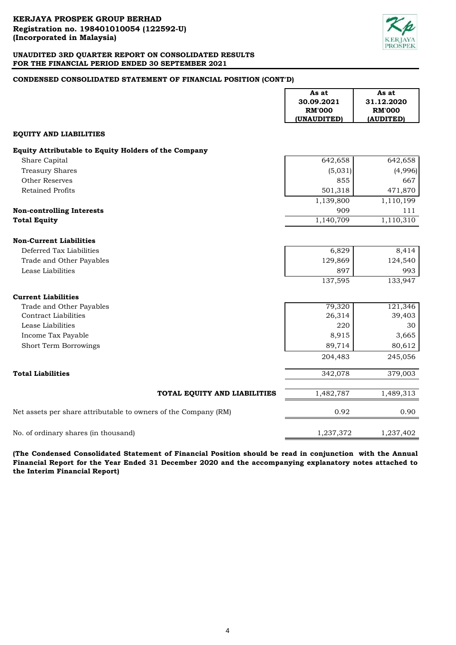

# **CONDENSED CONSOLIDATED STATEMENT OF FINANCIAL POSITION (CONT'D)**

|                                                                 | As at<br>30.09.2021 | As at<br>31.12.2020 |
|-----------------------------------------------------------------|---------------------|---------------------|
|                                                                 | <b>RM'000</b>       | <b>RM'000</b>       |
|                                                                 | (UNAUDITED)         | (AUDITED)           |
| <b>EQUITY AND LIABILITIES</b>                                   |                     |                     |
| Equity Attributable to Equity Holders of the Company            |                     |                     |
| Share Capital                                                   | 642,658             | 642,658             |
| <b>Treasury Shares</b>                                          | (5,031)             | (4,996)             |
| <b>Other Reserves</b>                                           | 855                 | 667                 |
| <b>Retained Profits</b>                                         | 501,318             | 471,870             |
|                                                                 | 1,139,800           | 1,110,199           |
| <b>Non-controlling Interests</b>                                | 909                 | 111                 |
| <b>Total Equity</b>                                             | 1,140,709           | 1,110,310           |
| <b>Non-Current Liabilities</b>                                  |                     |                     |
| Deferred Tax Liabilities                                        | 6,829               | 8,414               |
| Trade and Other Payables                                        | 129,869             | 124,540             |
| Lease Liabilities                                               | 897                 | 993                 |
|                                                                 | 137,595             | 133,947             |
| <b>Current Liabilities</b>                                      |                     |                     |
| Trade and Other Payables                                        | 79,320              | 121,346             |
| <b>Contract Liabilities</b>                                     | 26,314              | 39,403              |
| Lease Liabilities                                               | 220                 | 30                  |
| Income Tax Payable                                              | 8,915               | 3,665               |
| Short Term Borrowings                                           | 89,714              | 80,612              |
|                                                                 | 204,483             | 245,056             |
| <b>Total Liabilities</b>                                        | 342,078             | 379,003             |
| TOTAL EQUITY AND LIABILITIES                                    | 1,482,787           | 1,489,313           |
| Net assets per share attributable to owners of the Company (RM) | 0.92                | 0.90                |
| No. of ordinary shares (in thousand)                            | 1,237,372           | 1,237,402           |

**(The Condensed Consolidated Statement of Financial Position should be read in conjunction with the Annual Financial Report for the Year Ended 31 December 2020 and the accompanying explanatory notes attached to the Interim Financial Report)**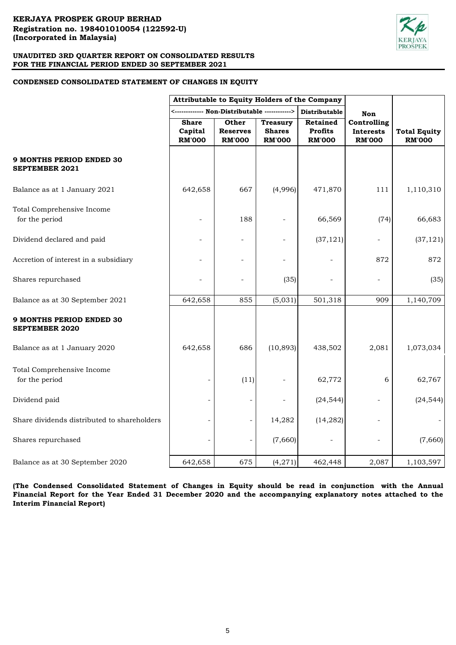

# **CONDENSED CONSOLIDATED STATEMENT OF CHANGES IN EQUITY**

|                                                          | Attributable to Equity Holders of the Company |                                           |                                                   |                                             |                                                  |                                      |
|----------------------------------------------------------|-----------------------------------------------|-------------------------------------------|---------------------------------------------------|---------------------------------------------|--------------------------------------------------|--------------------------------------|
|                                                          |                                               | --- Non-Distributable ------------>       |                                                   | Distributable                               | Non                                              |                                      |
|                                                          | <b>Share</b><br>Capital<br><b>RM'000</b>      | Other<br><b>Reserves</b><br><b>RM'000</b> | <b>Treasury</b><br><b>Shares</b><br><b>RM'000</b> | Retained<br><b>Profits</b><br><b>RM'000</b> | Controlling<br><b>Interests</b><br><b>RM'000</b> | <b>Total Equity</b><br><b>RM'000</b> |
| <b>9 MONTHS PERIOD ENDED 30</b><br><b>SEPTEMBER 2021</b> |                                               |                                           |                                                   |                                             |                                                  |                                      |
| Balance as at 1 January 2021                             | 642,658                                       | 667                                       | (4,996)                                           | 471,870                                     | 111                                              | 1,110,310                            |
| Total Comprehensive Income<br>for the period             |                                               | 188                                       |                                                   | 66,569                                      | (74)                                             | 66,683                               |
| Dividend declared and paid                               |                                               | ÷,                                        | $\overline{a}$                                    | (37, 121)                                   | ÷                                                | (37, 121)                            |
| Accretion of interest in a subsidiary                    |                                               | ÷,                                        |                                                   |                                             | 872                                              | 872                                  |
| Shares repurchased                                       |                                               |                                           | (35)                                              |                                             | ÷,                                               | (35)                                 |
| Balance as at 30 September 2021                          | 642,658                                       | 855                                       | (5,031)                                           | 501,318                                     | 909                                              | 1,140,709                            |
| <b>9 MONTHS PERIOD ENDED 30</b><br><b>SEPTEMBER 2020</b> |                                               |                                           |                                                   |                                             |                                                  |                                      |
| Balance as at 1 January 2020                             | 642,658                                       | 686                                       | (10, 893)                                         | 438,502                                     | 2,081                                            | 1,073,034                            |
| Total Comprehensive Income<br>for the period             |                                               | (11)                                      |                                                   | 62,772                                      | 6                                                | 62,767                               |
| Dividend paid                                            | $\overline{\phantom{a}}$                      |                                           |                                                   | (24, 544)                                   |                                                  | (24, 544)                            |
| Share dividends distributed to shareholders              |                                               |                                           | 14,282                                            | (14, 282)                                   | ÷                                                |                                      |
| Shares repurchased                                       |                                               |                                           | (7,660)                                           |                                             |                                                  | (7,660)                              |
| Balance as at 30 September 2020                          | 642,658                                       | 675                                       | (4, 271)                                          | 462,448                                     | 2,087                                            | 1,103,597                            |

**(The Condensed Consolidated Statement of Changes in Equity should be read in conjunction with the Annual** Financial Report for the Year Ended 31 December 2020 and the accompanying explanatory notes attached to the **Interim Financial Report)**

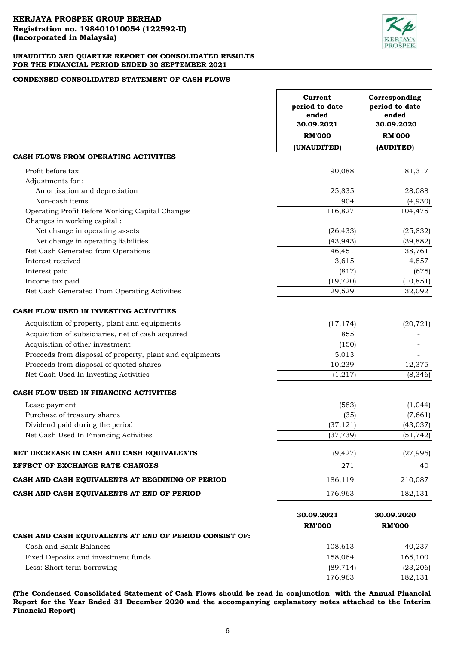

# **CONDENSED CONSOLIDATED STATEMENT OF CASH FLOWS**

|                                                          | Current<br>period-to-date<br>ended<br>30.09.2021 | Corresponding<br>period-to-date<br>ended<br>30.09.2020 |
|----------------------------------------------------------|--------------------------------------------------|--------------------------------------------------------|
|                                                          | <b>RM'000</b>                                    | <b>RM'000</b>                                          |
|                                                          | (UNAUDITED)                                      | (AUDITED)                                              |
| CASH FLOWS FROM OPERATING ACTIVITIES                     |                                                  |                                                        |
| Profit before tax                                        | 90,088                                           | 81,317                                                 |
| Adjustments for:                                         |                                                  |                                                        |
| Amortisation and depreciation                            | 25,835                                           | 28,088                                                 |
| Non-cash items                                           | 904                                              | (4,930)                                                |
| Operating Profit Before Working Capital Changes          | 116,827                                          | 104,475                                                |
| Changes in working capital :                             |                                                  |                                                        |
| Net change in operating assets                           | (26, 433)                                        | (25, 832)                                              |
| Net change in operating liabilities                      | (43, 943)                                        | (39, 882)                                              |
| Net Cash Generated from Operations                       | 46,451                                           | 38,761                                                 |
| Interest received                                        | 3,615                                            | 4,857                                                  |
| Interest paid                                            | (817)                                            | (675)                                                  |
| Income tax paid                                          | (19, 720)                                        | (10, 851)                                              |
| Net Cash Generated From Operating Activities             | 29,529                                           | 32,092                                                 |
| CASH FLOW USED IN INVESTING ACTIVITIES                   |                                                  |                                                        |
| Acquisition of property, plant and equipments            | (17, 174)                                        | (20, 721)                                              |
| Acquisition of subsidiaries, net of cash acquired        | 855                                              |                                                        |
| Acquisition of other investment                          | (150)                                            |                                                        |
| Proceeds from disposal of property, plant and equipments | 5,013                                            |                                                        |
| Proceeds from disposal of quoted shares                  | 10,239                                           | 12,375                                                 |
| Net Cash Used In Investing Activities                    | (1,217)                                          | (8, 346)                                               |
| CASH FLOW USED IN FINANCING ACTIVITIES                   |                                                  |                                                        |
| Lease payment                                            | (583)                                            | (1,044)                                                |
| Purchase of treasury shares                              | (35)                                             | (7,661)                                                |
| Dividend paid during the period                          | (37, 121)                                        | (43, 037)                                              |
| Net Cash Used In Financing Activities                    | (37, 739)                                        | (51, 742)                                              |
| NET DECREASE IN CASH AND CASH EQUIVALENTS                | (9, 427)                                         | (27,996)                                               |
| EFFECT OF EXCHANGE RATE CHANGES                          | 271                                              | 40                                                     |
| CASH AND CASH EQUIVALENTS AT BEGINNING OF PERIOD         | 186,119                                          | 210,087                                                |
| CASH AND CASH EQUIVALENTS AT END OF PERIOD               | 176,963                                          | 182,131                                                |
|                                                          |                                                  |                                                        |
|                                                          | 30.09.2021                                       | 30.09.2020                                             |
|                                                          | <b>RM'000</b>                                    | <b>RM'000</b>                                          |
| CASH AND CASH EQUIVALENTS AT END OF PERIOD CONSIST OF:   |                                                  |                                                        |
| Cash and Bank Balances                                   | 108,613                                          | 40,237                                                 |
| Fixed Deposits and investment funds                      | 158,064                                          | 165,100                                                |
| Less: Short term borrowing                               | (89, 714)                                        | (23, 206)                                              |
|                                                          | 176,963                                          | 182,131                                                |

**(The Condensed Consolidated Statement of Cash Flows should be read in conjunction with the Annual Financial Report for the Year Ended 31 December 2020 and the accompanying explanatory notes attached to the Interim Financial Report)**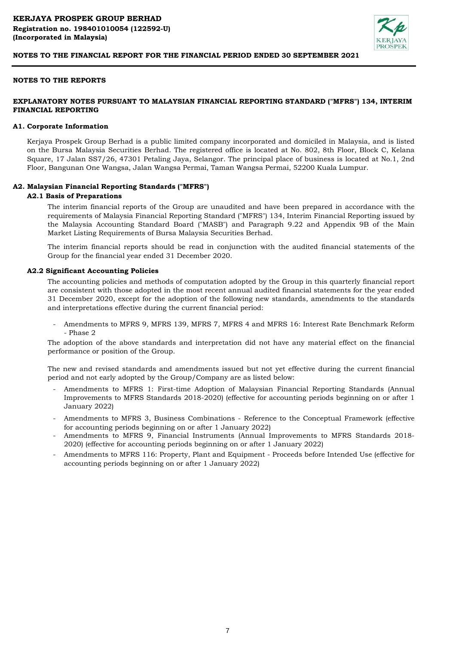

# **NOTES TO THE REPORTS**

# **EXPLANATORY NOTES PURSUANT TO MALAYSIAN FINANCIAL REPORTING STANDARD ("MFRS") 134, INTERIM FINANCIAL REPORTING**

#### **A1. Corporate Information**

Kerjaya Prospek Group Berhad is a public limited company incorporated and domiciled in Malaysia, and is listed on the Bursa Malaysia Securities Berhad. The registered office is located at No. 802, 8th Floor, Block C, Kelana Square, 17 Jalan SS7/26, 47301 Petaling Jaya, Selangor. The principal place of business is located at No.1, 2nd Floor, Bangunan One Wangsa, Jalan Wangsa Permai, Taman Wangsa Permai, 52200 Kuala Lumpur.

#### **A2. Malaysian Financial Reporting Standards ("MFRS")**

# **A2.1 Basis of Preparations**

The interim financial reports of the Group are unaudited and have been prepared in accordance with the requirements of Malaysia Financial Reporting Standard ("MFRS") 134, Interim Financial Reporting issued by the Malaysia Accounting Standard Board ("MASB") and Paragraph 9.22 and Appendix 9B of the Main Market Listing Requirements of Bursa Malaysia Securities Berhad.

The interim financial reports should be read in conjunction with the audited financial statements of the Group for the financial year ended 31 December 2020.

#### **A2.2 Significant Accounting Policies**

The accounting policies and methods of computation adopted by the Group in this quarterly financial report are consistent with those adopted in the most recent annual audited financial statements for the year ended 31 December 2020, except for the adoption of the following new standards, amendments to the standards and interpretations effective during the current financial period:

- Amendments to MFRS 9, MFRS 139, MFRS 7, MFRS 4 and MFRS 16: Interest Rate Benchmark Reform - Phase 2

The adoption of the above standards and interpretation did not have any material effect on the financial performance or position of the Group.

The new and revised standards and amendments issued but not yet effective during the current financial period and not early adopted by the Group/Company are as listed below:

- Amendments to MFRS 1: First-time Adoption of Malaysian Financial Reporting Standards (Annual Improvements to MFRS Standards 2018-2020) (effective for accounting periods beginning on or after 1 January 2022)
- Amendments to MFRS 3, Business Combinations Reference to the Conceptual Framework (effective for accounting periods beginning on or after 1 January 2022)
- Amendments to MFRS 9, Financial Instruments (Annual Improvements to MFRS Standards 2018- 2020) (effective for accounting periods beginning on or after 1 January 2022)
- Amendments to MFRS 116: Property, Plant and Equipment - Proceeds before Intended Use (effective for accounting periods beginning on or after 1 January 2022)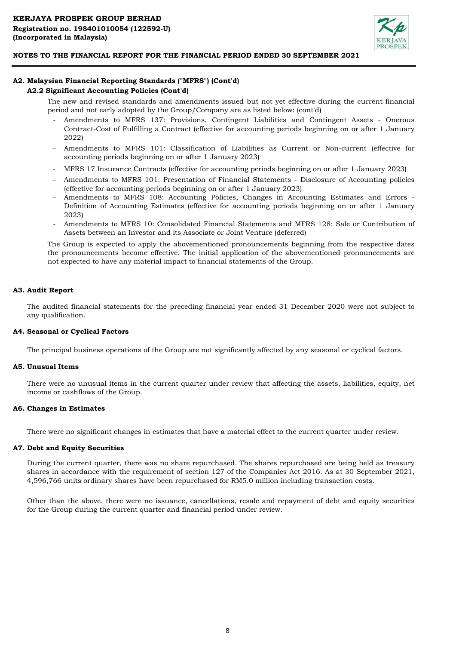

# **A2. Malaysian Financial Reporting Standards ("MFRS") (Cont'd)**

# **A2.2 Significant Accounting Policies (Cont'd)**

The new and revised standards and amendments issued but not yet effective during the current financial period and not early adopted by the Group/Company are as listed below: (cont'd)

- Amendments to MFRS 137: Provisions, Contingent Liabilities and Contingent Assets - Onerous Contract-Cost of Fulfilling a Contract (effective for accounting periods beginning on or after 1 January 2022)
- Amendments to MFRS 101: Classification of Liabilities as Current or Non-current (effective for accounting periods beginning on or after 1 January 2023)
- MFRS 17 Insurance Contracts (effective for accounting periods beginning on or after 1 January 2023)
- Amendments to MFRS 101: Presentation of Financial Statements - Disclosure of Accounting policies (effective for accounting periods beginning on or after 1 January 2023)
- Amendments to MFRS 108: Accounting Policies, Changes in Accounting Estimates and Errors Definition of Accounting Estimates (effective for accounting periods beginning on or after 1 January 2023)
- Amendments to MFRS 10: Consolidated Financial Statements and MFRS 128: Sale or Contribution of Assets between an Investor and its Associate or Joint Venture (deferred)

The Group is expected to apply the abovementioned pronouncements beginning from the respective dates the pronouncements become effective. The initial application of the abovementioned pronouncements are not expected to have any material impact to financial statements of the Group.

# **A3. Audit Report**

The audited financial statements for the preceding financial year ended 31 December 2020 were not subject to any qualification.

#### **A4. Seasonal or Cyclical Factors**

The principal business operations of the Group are not significantly affected by any seasonal or cyclical factors.

#### **A5. Unusual Items**

There were no unusual items in the current quarter under review that affecting the assets, liabilities, equity, net income or cashflows of the Group.

#### **A6. Changes in Estimates**

There were no significant changes in estimates that have a material effect to the current quarter under review.

### **A7. Debt and Equity Securities**

During the current quarter, there was no share repurchased. The shares repurchased are being held as treasury shares in accordance with the requirement of section 127 of the Companies Act 2016. As at 30 September 2021, 4,596,766 units ordinary shares have been repurchased for RM5.0 million including transaction costs.

Other than the above, there were no issuance, cancellations, resale and repayment of debt and equity securities for the Group during the current quarter and financial period under review.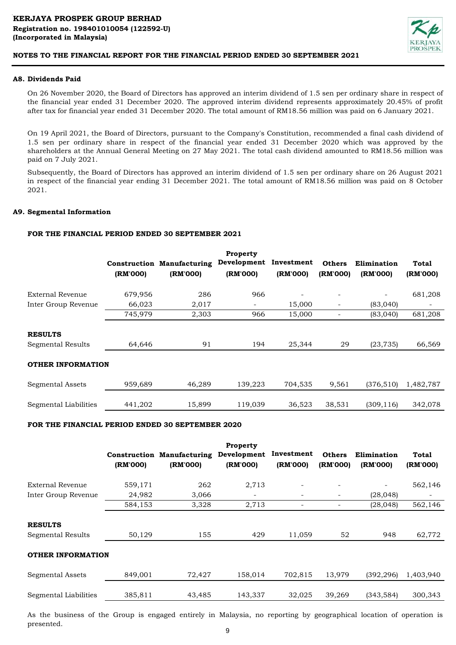

# **A8. Dividends Paid**

On 26 November 2020, the Board of Directors has approved an interim dividend of 1.5 sen per ordinary share in respect of the financial year ended 31 December 2020. The approved interim dividend represents approximately 20.45% of profit after tax for financial year ended 31 December 2020. The total amount of RM18.56 million was paid on 6 January 2021.

On 19 April 2021, the Board of Directors, pursuant to the Company's Constitution, recommended a final cash dividend of 1.5 sen per ordinary share in respect of the financial year ended 31 December 2020 which was approved by the shareholders at the Annual General Meeting on 27 May 2021. The total cash dividend amounted to RM18.56 million was paid on 7 July 2021.

Subsequently, the Board of Directors has approved an interim dividend of 1.5 sen per ordinary share on 26 August 2021 in respect of the financial year ending 31 December 2021. The total amount of RM18.56 million was paid on 8 October 2021.

# **A9. Segmental Information**

# **FOR THE FINANCIAL PERIOD ENDED 30 SEPTEMBER 2021**

|                                            | (RM'000) | <b>Construction Manufacturing</b><br>(RM'000) | Property<br>Development<br>(RM'000) | Investment<br>(RM'000) | <b>Others</b><br>(RM'000) | Elimination<br>(RM'000) | Total<br>(RM'000) |
|--------------------------------------------|----------|-----------------------------------------------|-------------------------------------|------------------------|---------------------------|-------------------------|-------------------|
| External Revenue                           | 679,956  | 286                                           | 966                                 |                        |                           | -                       | 681,208           |
| Inter Group Revenue                        | 66,023   | 2,017                                         |                                     | 15,000                 |                           | (83,040)                |                   |
|                                            | 745,979  | 2,303                                         | 966                                 | 15,000                 |                           | (83,040)                | 681,208           |
| <b>RESULTS</b><br><b>Segmental Results</b> | 64,646   | 91                                            | 194                                 | 25,344                 | 29                        | (23, 735)               | 66,569            |
| <b>OTHER INFORMATION</b>                   |          |                                               |                                     |                        |                           |                         |                   |
| Segmental Assets                           | 959,689  | 46,289                                        | 139,223                             | 704,535                | 9,561                     | (376, 510)              | 1,482,787         |
| Segmental Liabilities                      | 441,202  | 15,899                                        | 119,039                             | 36,523                 | 38,531                    | (309, 116)              | 342,078           |

#### **FOR THE FINANCIAL PERIOD ENDED 30 SEPTEMBER 2020**

|                                            | (RM'000) | <b>Construction Manufacturing</b><br>(RM'000) | Property<br>Development<br>(RM'000) | Investment<br>(RM'000) | <b>Others</b><br>(RM'000) | Elimination<br>(RM'000)  | Total<br>(RM'000) |
|--------------------------------------------|----------|-----------------------------------------------|-------------------------------------|------------------------|---------------------------|--------------------------|-------------------|
| External Revenue                           | 559,171  | 262                                           | 2,713                               | ۰                      |                           | $\overline{\phantom{a}}$ | 562,146           |
| Inter Group Revenue                        | 24,982   | 3,066                                         |                                     | Ξ.                     | $\overline{\phantom{0}}$  | (28, 048)                |                   |
|                                            | 584,153  | 3,328                                         | 2,713                               | ۰                      |                           | (28, 048)                | 562,146           |
| <b>RESULTS</b><br><b>Segmental Results</b> | 50,129   | 155                                           | 429                                 | 11,059                 | 52                        | 948                      | 62,772            |
| <b>OTHER INFORMATION</b>                   |          |                                               |                                     |                        |                           |                          |                   |
| Segmental Assets                           | 849,001  | 72,427                                        | 158,014                             | 702,815                | 13,979                    | (392, 296)               | 1,403,940         |
| Segmental Liabilities                      | 385,811  | 43,485                                        | 143,337                             | 32,025                 | 39,269                    | (343, 584)               | 300,343           |

As the business of the Group is engaged entirely in Malaysia, no reporting by geographical location of operation is presented.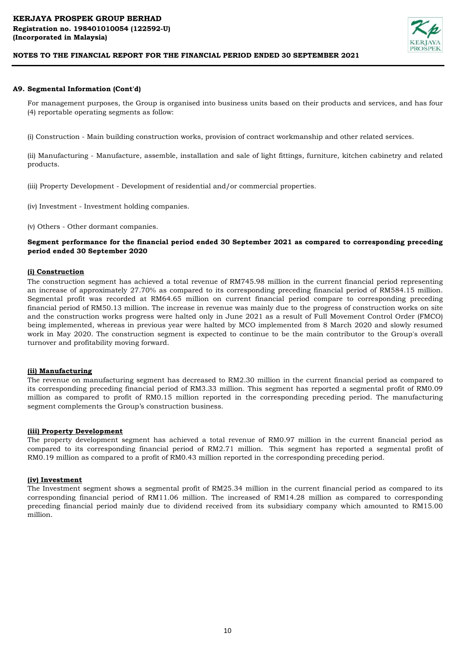

#### **A9. Segmental Information (Cont'd)**

For management purposes, the Group is organised into business units based on their products and services, and has four (4) reportable operating segments as follow:

(i) Construction - Main building construction works, provision of contract workmanship and other related services.

(ii) Manufacturing - Manufacture, assemble, installation and sale of light fittings, furniture, kitchen cabinetry and related products.

(iii) Property Development - Development of residential and/or commercial properties.

(iv) Investment - Investment holding companies.

(v) Others - Other dormant companies.

### **Segment performance for the financial period ended 30 September 2021 as compared to corresponding preceding period ended 30 September 2020**

#### **(i) Construction**

The construction segment has achieved a total revenue of RM745.98 million in the current financial period representing an increase of approximately 27.70% as compared to its corresponding preceding financial period of RM584.15 million. Segmental profit was recorded at RM64.65 million on current financial period compare to corresponding preceding financial period of RM50.13 million. The increase in revenue was mainly due to the progress of construction works on site and the construction works progress were halted only in June 2021 as a result of Full Movement Control Order (FMCO) being implemented, whereas in previous year were halted by MCO implemented from 8 March 2020 and slowly resumed work in May 2020. The construction segment is expected to continue to be the main contributor to the Group's overall turnover and profitability moving forward.

#### **(ii) Manufacturing**

The revenue on manufacturing segment has decreased to RM2.30 million in the current financial period as compared to its corresponding preceding financial period of RM3.33 million. This segment has reported a segmental profit of RM0.09 million as compared to profit of RM0.15 million reported in the corresponding preceding period. The manufacturing segment complements the Group's construction business.

#### **(iii) Property Development**

The property development segment has achieved a total revenue of RM0.97 million in the current financial period as compared to its corresponding financial period of RM2.71 million. This segment has reported a segmental profit of RM0.19 million as compared to a profit of RM0.43 million reported in the corresponding preceding period.

#### **(iv) Investment**

The Investment segment shows a segmental profit of RM25.34 million in the current financial period as compared to its corresponding financial period of RM11.06 million. The increased of RM14.28 million as compared to corresponding preceding financial period mainly due to dividend received from its subsidiary company which amounted to RM15.00 million.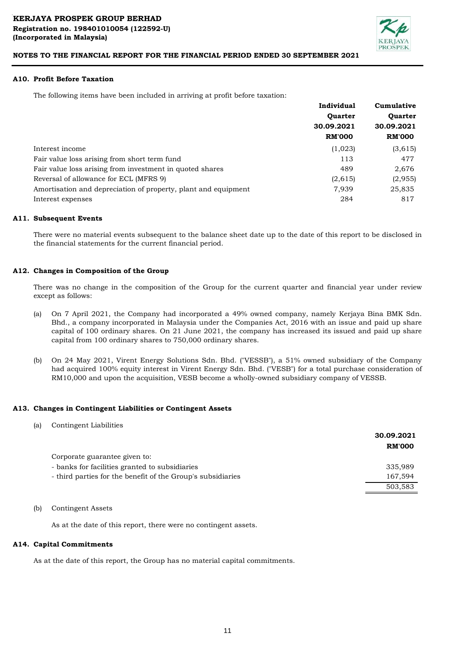

### **A10. Profit Before Taxation**

The following items have been included in arriving at profit before taxation:

|                                                                | Individual                   | Cumulative     |  |
|----------------------------------------------------------------|------------------------------|----------------|--|
|                                                                | <b>Quarter</b><br>30.09.2021 | <b>Ouarter</b> |  |
|                                                                |                              | 30.09.2021     |  |
|                                                                | <b>RM'000</b>                | <b>RM'000</b>  |  |
| Interest income                                                | (1,023)                      | (3,615)        |  |
| Fair value loss arising from short term fund                   | 113                          | 477            |  |
| Fair value loss arising from investment in quoted shares       | 489                          | 2,676          |  |
| Reversal of allowance for ECL (MFRS 9)                         | (2,615)                      | (2,955)        |  |
| Amortisation and depreciation of property, plant and equipment | 7,939                        | 25,835         |  |
| Interest expenses                                              | 284                          | 817            |  |

#### **A11. Subsequent Events**

There were no material events subsequent to the balance sheet date up to the date of this report to be disclosed in the financial statements for the current financial period.

# **A12. Changes in Composition of the Group**

There was no change in the composition of the Group for the current quarter and financial year under review except as follows:

- (a) On 7 April 2021, the Company had incorporated a 49% owned company, namely Kerjaya Bina BMK Sdn. Bhd., a company incorporated in Malaysia under the Companies Act, 2016 with an issue and paid up share capital of 100 ordinary shares. On 21 June 2021, the company has increased its issued and paid up share capital from 100 ordinary shares to 750,000 ordinary shares.
- (b) On 24 May 2021, Virent Energy Solutions Sdn. Bhd. ("VESSB"), a 51% owned subsidiary of the Company had acquired 100% equity interest in Virent Energy Sdn. Bhd. ("VESB") for a total purchase consideration of RM10,000 and upon the acquisition, VESB become a wholly-owned subsidiary company of VESSB.

#### **A13. Changes in Contingent Liabilities or Contingent Assets**

| (a) | Contingent Liabilities |  |
|-----|------------------------|--|
|-----|------------------------|--|

|                                                             | 30.09.2021<br><b>RM'000</b> |
|-------------------------------------------------------------|-----------------------------|
| Corporate guarantee given to:                               |                             |
| - banks for facilities granted to subsidiaries              | 335,989                     |
| - third parties for the benefit of the Group's subsidiaries | 167,594                     |
|                                                             | 503,583                     |

# (b) Contingent Assets

As at the date of this report, there were no contingent assets.

#### **A14. Capital Commitments**

As at the date of this report, the Group has no material capital commitments.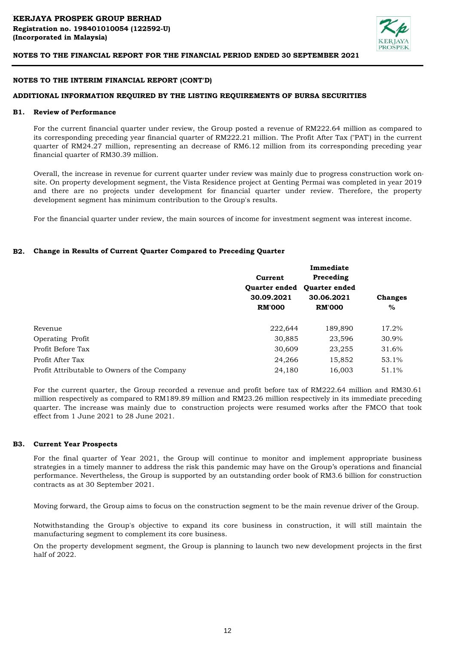

### **NOTES TO THE INTERIM FINANCIAL REPORT (CONT'D)**

### **ADDITIONAL INFORMATION REQUIRED BY THE LISTING REQUIREMENTS OF BURSA SECURITIES**

#### **B1. Review of Performance**

For the current financial quarter under review, the Group posted a revenue of RM222.64 million as compared to its corresponding preceding year financial quarter of RM222.21 million. The Profit After Tax ("PAT') in the current quarter of RM24.27 million, representing an decrease of RM6.12 million from its corresponding preceding year financial quarter of RM30.39 million.

Overall, the increase in revenue for current quarter under review was mainly due to progress construction work onsite. On property development segment, the Vista Residence project at Genting Permai was completed in year 2019 and there are no projects under development for financial quarter under review. Therefore, the property development segment has minimum contribution to the Group's results.

For the financial quarter under review, the main sources of income for investment segment was interest income.

#### **B2. Change in Results of Current Quarter Compared to Preceding Quarter**

|                                              |                                    | Immediate            |                |
|----------------------------------------------|------------------------------------|----------------------|----------------|
|                                              | Current                            | Preceding            |                |
|                                              | <b>Ouarter ended</b><br>30.09.2021 | <b>Ouarter ended</b> |                |
|                                              |                                    | 30.06.2021           | <b>Changes</b> |
|                                              | <b>RM'000</b>                      | <b>RM'000</b>        | $\%$           |
| Revenue                                      | 222,644                            | 189,890              | 17.2%          |
| Operating Profit                             | 30,885                             | 23,596               | 30.9%          |
| Profit Before Tax                            | 30,609                             | 23,255               | 31.6%          |
| Profit After Tax                             | 24,266                             | 15,852               | 53.1%          |
| Profit Attributable to Owners of the Company | 24,180                             | 16,003               | 51.1%          |

For the current quarter, the Group recorded a revenue and profit before tax of RM222.64 million and RM30.61 million respectively as compared to RM189.89 million and RM23.26 million respectively in its immediate preceding quarter. The increase was mainly due to construction projects were resumed works after the FMCO that took effect from 1 June 2021 to 28 June 2021.

#### **B3. Current Year Prospects**

For the final quarter of Year 2021, the Group will continue to monitor and implement appropriate business strategies in a timely manner to address the risk this pandemic may have on the Group's operations and financial performance. Nevertheless, the Group is supported by an outstanding order book of RM3.6 billion for construction contracts as at 30 September 2021.

Moving forward, the Group aims to focus on the construction segment to be the main revenue driver of the Group.

Notwithstanding the Group's objective to expand its core business in construction, it will still maintain the manufacturing segment to complement its core business.

On the property development segment, the Group is planning to launch two new development projects in the first half of 2022.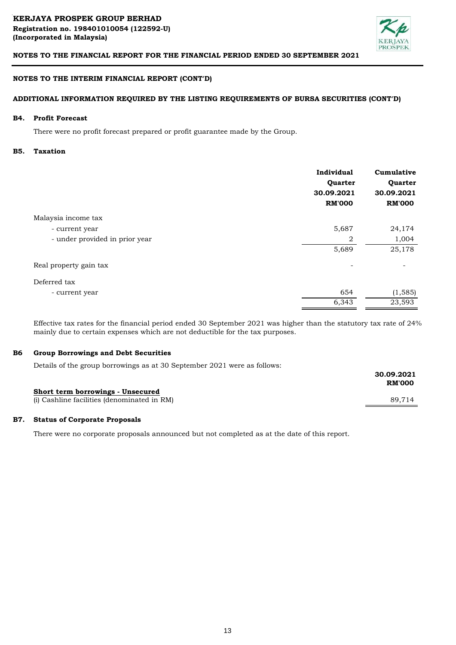

# **NOTES TO THE INTERIM FINANCIAL REPORT (CONT'D)**

### **ADDITIONAL INFORMATION REQUIRED BY THE LISTING REQUIREMENTS OF BURSA SECURITIES (CONT'D)**

#### **B4. Profit Forecast**

There were no profit forecast prepared or profit guarantee made by the Group.

#### **B5. Taxation**

|                                | Individual<br>Quarter<br>30.09.2021<br><b>RM'000</b> | Cumulative<br>Quarter<br>30.09.2021<br><b>RM'000</b> |
|--------------------------------|------------------------------------------------------|------------------------------------------------------|
| Malaysia income tax            |                                                      |                                                      |
| - current year                 | 5,687                                                | 24,174                                               |
| - under provided in prior year | 2                                                    | 1,004                                                |
|                                | 5,689                                                | 25,178                                               |
| Real property gain tax         |                                                      |                                                      |
| Deferred tax                   |                                                      |                                                      |
| - current year                 | 654                                                  | (1, 585)                                             |
|                                | 6,343                                                | 23,593                                               |

Effective tax rates for the financial period ended 30 September 2021 was higher than the statutory tax rate of 24% mainly due to certain expenses which are not deductible for the tax purposes.

#### **B6 Group Borrowings and Debt Securities**

Details of the group borrowings as at 30 September 2021 were as follows:

|                                             | 30.09.2021<br><b>RM'000</b> |
|---------------------------------------------|-----------------------------|
| Short term borrowings - Unsecured           |                             |
| (i) Cashline facilities (denominated in RM) | 89.714                      |

#### **B7. Status of Corporate Proposals**

There were no corporate proposals announced but not completed as at the date of this report.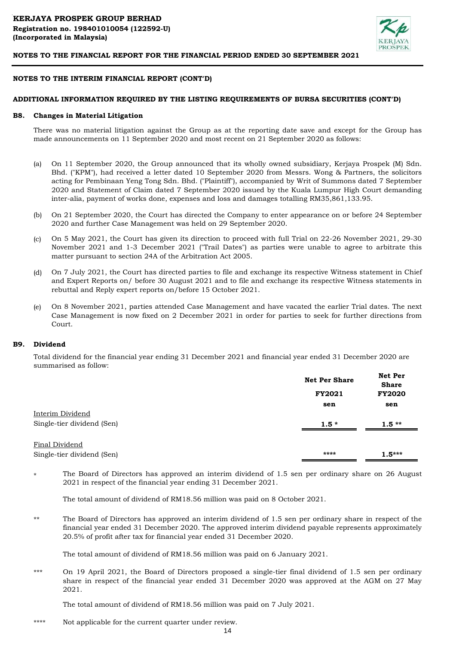

### **NOTES TO THE INTERIM FINANCIAL REPORT (CONT'D)**

### **ADDITIONAL INFORMATION REQUIRED BY THE LISTING REQUIREMENTS OF BURSA SECURITIES (CONT'D)**

#### **B8. Changes in Material Litigation**

There was no material litigation against the Group as at the reporting date save and except for the Group has made announcements on 11 September 2020 and most recent on 21 September 2020 as follows:

- (a) On 11 September 2020, the Group announced that its wholly owned subsidiary, Kerjaya Prospek (M) Sdn. Bhd. ("KPM"), had received a letter dated 10 September 2020 from Messrs. Wong & Partners, the solicitors acting for Pembinaan Yeng Tong Sdn. Bhd. ("Plaintiff"), accompanied by Writ of Summons dated 7 September 2020 and Statement of Claim dated 7 September 2020 issued by the Kuala Lumpur High Court demanding inter-alia, payment of works done, expenses and loss and damages totalling RM35,861,133.95.
- (b) On 21 September 2020, the Court has directed the Company to enter appearance on or before 24 September 2020 and further Case Management was held on 29 September 2020.
- (c) On 5 May 2021, the Court has given its direction to proceed with full Trial on 22-26 November 2021, 29-30 November 2021 and 1-3 December 2021 ("Trail Dates") as parties were unable to agree to arbitrate this matter pursuant to section 24A of the Arbitration Act 2005.
- (d) On 7 July 2021, the Court has directed parties to file and exchange its respective Witness statement in Chief and Expert Reports on/ before 30 August 2021 and to file and exchange its respective Witness statements in rebuttal and Reply expert reports on/before 15 October 2021.
- (e) On 8 November 2021, parties attended Case Management and have vacated the earlier Trial dates. The next Case Management is now fixed on 2 December 2021 in order for parties to seek for further directions from Court.

#### **B9. Dividend**

Total dividend for the financial year ending 31 December 2021 and financial year ended 31 December 2020 are summarised as follow:

|                            | <b>Net Per Share</b> | <b>Net Per</b><br><b>Share</b> |
|----------------------------|----------------------|--------------------------------|
|                            | <b>FY2021</b>        | <b>FY2020</b>                  |
|                            | sen                  | sen                            |
| Interim Dividend           |                      |                                |
| Single-tier dividend (Sen) | $1.5*$               | $1.5**$                        |
| Final Dividend             |                      |                                |
| Single-tier dividend (Sen) | ****                 | $1.5***$                       |

\* The Board of Directors has approved an interim dividend of 1.5 sen per ordinary share on 26 August 2021 in respect of the financial year ending 31 December 2021.

The total amount of dividend of RM18.56 million was paid on 8 October 2021.

\*\* The Board of Directors has approved an interim dividend of 1.5 sen per ordinary share in respect of the financial year ended 31 December 2020. The approved interim dividend payable represents approximately 20.5% of profit after tax for financial year ended 31 December 2020.

The total amount of dividend of RM18.56 million was paid on 6 January 2021.

\*\*\* On 19 April 2021, the Board of Directors proposed a single-tier final dividend of 1.5 sen per ordinary share in respect of the financial year ended 31 December 2020 was approved at the AGM on 27 May 2021.

The total amount of dividend of RM18.56 million was paid on 7 July 2021.

\*\*\*\* Not applicable for the current quarter under review.